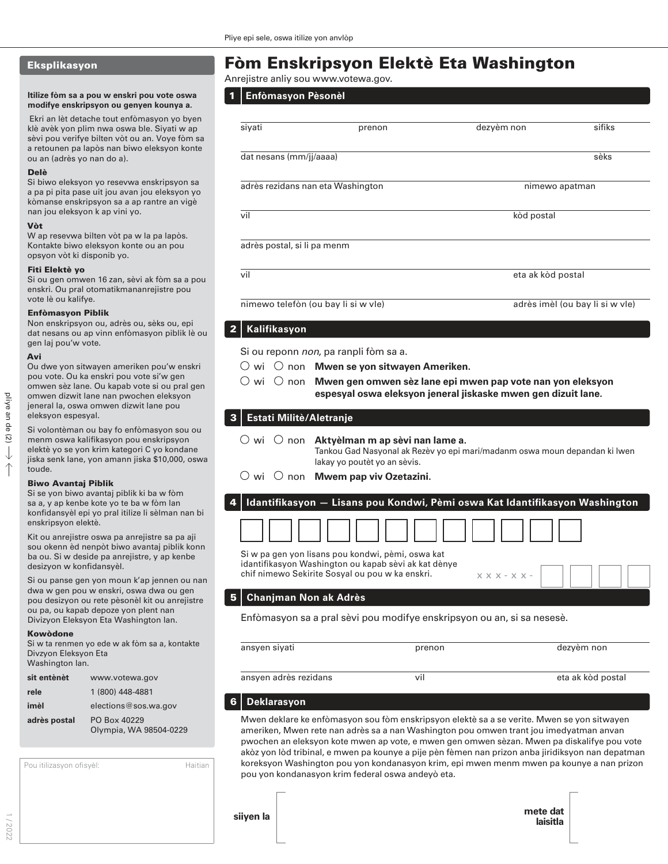## Eksplikasyon

#### **Itilize fòm sa a pou w enskri pou vote oswa modifye enskripsyon ou genyen kounya a.**

 Ekri an lèt detache tout enfòmasyon yo byen klè avèk yon plim nwa oswa ble. Siyati w ap sèvi pou verifye bilten vòt ou an. Voye fòm sa a retounen pa lapòs nan biwo eleksyon konte ou an (adrès yo nan do a).

#### Delè

Si biwo eleksyon yo resevwa enskripsyon sa a pa pi pita pase uit jou avan jou eleksyon yo kòmanse enskripsyon sa a ap rantre an vigè nan jou eleksyon k ap vini yo.

#### Vòt

W ap resevwa bilten vòt pa w la pa lapòs. Kontakte biwo eleksyon konte ou an pou opsyon vòt ki disponib yo.

### Fiti Elektè yo

Si ou gen omwen 16 zan, sèvi ak fòm sa a pou enskri. Ou pral otomatikmananrejistre pou vote lè ou kalifye.

#### Enfòmasyon Piblik

Non enskripsyon ou, adrès ou, sèks ou, epi dat nesans ou ap vinn enfòmasyon piblik lè ou gen laj pou'w vote.

#### Avi

Ou dwe yon sitwayen ameriken pou'w enskri pou vote. Ou ka enskri pou vote si'w gen omwen sèz lane. Ou kapab vote si ou pral gen omwen dizwit lane nan pwochen eleksyon jeneral la, oswa omwen dizwit lane pou eleksyon espesyal.

Si volontèman ou bay fo enfòmasyon sou ou menm oswa kalifikasyon pou enskripsyon elektè yo se yon krim kategori C yo kondane jiska senk lane, yon amann jiska \$10,000, oswa toude.

#### Biwo Avantaj Piblik

Si se yon biwo avantaj piblik ki ba w fòm sa a, y ap kenbe kote yo te ba w fòm lan konfidansyèl epi yo pral itilize li sèlman nan bi enskripsyon elektè.

Kit ou anrejistre oswa pa anrejistre sa pa aji sou okenn èd nenpòt biwo avantaj piblik konn ba ou. Si w deside pa anrejistre, y ap kenbe desizyon w konfidansyèl.

Si ou panse gen yon moun k'ap jennen ou nan dwa w gen pou w enskri, oswa dwa ou gen pou desizyon ou rete pèsonèl kit ou anrejistre ou pa, ou kapab depoze yon plent nan Divizyon Eleksyon Eta Washington lan.

#### Kowòdone

Si w ta renmen yo ede w ak fòm sa a, ko Divzyon Eleksyon Eta Washington lan.

| sit entènèt  | www.votewa.gov                         |
|--------------|----------------------------------------|
| rele         | 1 (800) 448-4881                       |
| imèl         | elections@sos.wa.gov                   |
| adrès postal | PO Box 40229<br>Olympia, WA 98504-0229 |

| Pou itilizasyon ofisyèl: | Haitian |
|--------------------------|---------|
|                          |         |
|                          |         |

# Fòm Enskripsyon Elektè Eta Washington

Anrejistre anliy sou www.votewa.gov.

| 1   Enfòmasyon Pèsonèl |
|------------------------|
|                        |
|                        |

| siyati                            | prenon                                                                                                                                                             | dezyèm non                                                    | sifiks                          |  |
|-----------------------------------|--------------------------------------------------------------------------------------------------------------------------------------------------------------------|---------------------------------------------------------------|---------------------------------|--|
| dat nesans (mm/jj/aaaa)           |                                                                                                                                                                    |                                                               | sèks                            |  |
| adrès rezidans nan eta Washington |                                                                                                                                                                    |                                                               | nimewo apatman                  |  |
| vil                               |                                                                                                                                                                    | kòd postal                                                    |                                 |  |
| adrès postal, si li pa menm       |                                                                                                                                                                    |                                                               |                                 |  |
| vil                               |                                                                                                                                                                    | eta ak kòd postal                                             |                                 |  |
|                                   | nimewo telefòn (ou bay li si w vle)                                                                                                                                |                                                               | adrès imèl (ou bay li si w vle) |  |
| Kalifikasyon                      |                                                                                                                                                                    |                                                               |                                 |  |
|                                   | Si ou reponn non, pa ranpli fòm sa a.                                                                                                                              |                                                               |                                 |  |
| O wi                              | $\bigcirc$ non Mwen se yon sitwayen Ameriken.                                                                                                                      |                                                               |                                 |  |
|                                   | wi $\circlearrowright$ non Mwen gen omwen sèz lane epi mwen pap vote nan yon eleksyon                                                                              | espesyal oswa eleksyon jeneral jiskaske mwen gen dizuit lane. |                                 |  |
| Estati Militè/Aletranje           |                                                                                                                                                                    |                                                               |                                 |  |
|                                   | $\cup$ wi $\cup$ non Aktyèlman m ap sèvi nan lame a.<br>Tankou Gad Nasyonal ak Rezèv yo epi mari/madanm oswa moun depandan ki lwen<br>lakay yo poutèt yo an sèvis. |                                                               |                                 |  |
|                                   | $\circlearrowright$ wi $\circlearrowright$ non Mwem pap viv Ozetazini.                                                                                             |                                                               |                                 |  |
|                                   | Idantifikasyon - Lisans pou Kondwi, Pèmi oswa Kat Idantifikasyon Washington                                                                                        |                                                               |                                 |  |
|                                   |                                                                                                                                                                    |                                                               |                                 |  |

Si w pa gen yon lisans pou kondwi, pèmi, oswa kat idantifikasyon Washington ou kapab sèvi ak kat dènye chif nimewo Sekirite Sosyal ou pou w ka enskri.

## 5 **Chanjman Non ak Adrès**

Enfòmasyon sa a pral sèvi pou modifye enskripsyon ou an, si sa nesesè.

| ontakte | ansven sivati         | prenon | dezyem non        |
|---------|-----------------------|--------|-------------------|
|         | ansyen adrès rezidans | VÌ     | eta ak kòd postal |

### 6 **Deklarasyon**

Mwen deklare ke enfòmasyon sou fòm enskripsyon elektè sa a se verite. Mwen se yon sitwayen ameriken, Mwen rete nan adrès sa a nan Washington pou omwen trant jou imedyatman anvan pwochen an eleksyon kote mwen ap vote, e mwen gen omwen sèzan. Mwen pa diskalifye pou vote akòz yon lòd tribinal, e mwen pa kounye a pije pèn fèmen nan prizon anba jiridiksyon nan depatman koreksyon Washington pou yon kondanasyon krim, epi mwen menm mwen pa kounye a nan prizon pou yon kondanasyon krim federal oswa andeyò eta.

xxx-xx-

**mete dat laisitla siiyen la**

1 / 2022